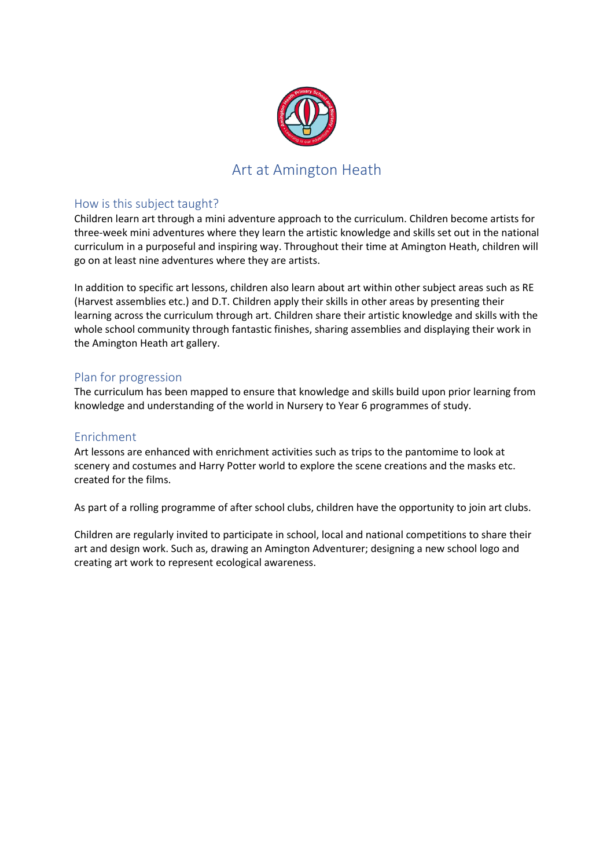

# Art at Amington Heath

### How is this subject taught?

Children learn art through a mini adventure approach to the curriculum. Children become artists for three-week mini adventures where they learn the artistic knowledge and skills set out in the national curriculum in a purposeful and inspiring way. Throughout their time at Amington Heath, children will go on at least nine adventures where they are artists.

In addition to specific art lessons, children also learn about art within other subject areas such as RE (Harvest assemblies etc.) and D.T. Children apply their skills in other areas by presenting their learning across the curriculum through art. Children share their artistic knowledge and skills with the whole school community through fantastic finishes, sharing assemblies and displaying their work in the Amington Heath art gallery.

### Plan for progression

The curriculum has been mapped to ensure that knowledge and skills build upon prior learning from knowledge and understanding of the world in Nursery to Year 6 programmes of study.

### Enrichment

Art lessons are enhanced with enrichment activities such as trips to the pantomime to look at scenery and costumes and Harry Potter world to explore the scene creations and the masks etc. created for the films.

As part of a rolling programme of after school clubs, children have the opportunity to join art clubs.

Children are regularly invited to participate in school, local and national competitions to share their art and design work. Such as, drawing an Amington Adventurer; designing a new school logo and creating art work to represent ecological awareness.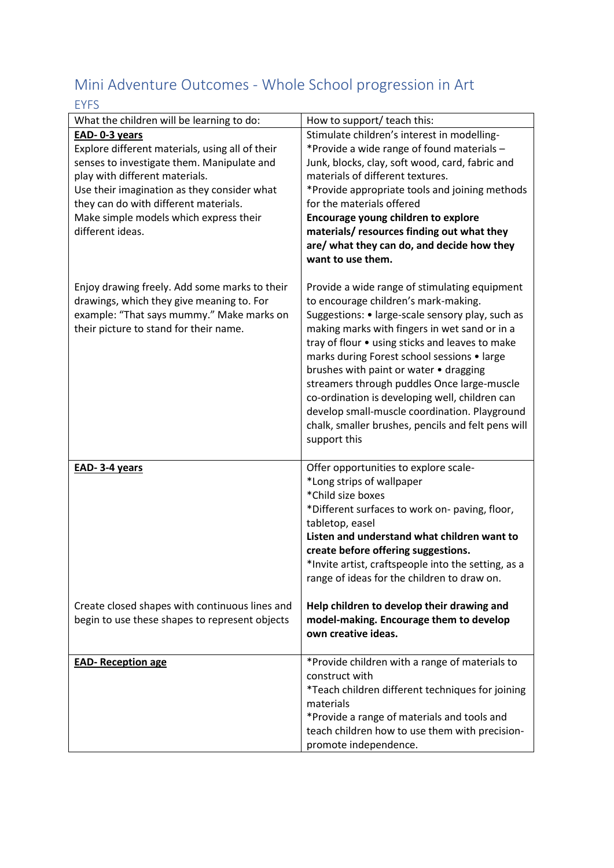# Mini Adventure Outcomes - Whole School progression in Art EYFS

| EIFJ                                                                                                                                                                                                                                                                                                   |                                                                                                                                                                                                                                                                                                                                                                                                                                                                                                                                                                |
|--------------------------------------------------------------------------------------------------------------------------------------------------------------------------------------------------------------------------------------------------------------------------------------------------------|----------------------------------------------------------------------------------------------------------------------------------------------------------------------------------------------------------------------------------------------------------------------------------------------------------------------------------------------------------------------------------------------------------------------------------------------------------------------------------------------------------------------------------------------------------------|
| What the children will be learning to do:                                                                                                                                                                                                                                                              | How to support/ teach this:                                                                                                                                                                                                                                                                                                                                                                                                                                                                                                                                    |
| EAD-0-3 years<br>Explore different materials, using all of their<br>senses to investigate them. Manipulate and<br>play with different materials.<br>Use their imagination as they consider what<br>they can do with different materials.<br>Make simple models which express their<br>different ideas. | Stimulate children's interest in modelling-<br>*Provide a wide range of found materials -<br>Junk, blocks, clay, soft wood, card, fabric and<br>materials of different textures.<br>*Provide appropriate tools and joining methods<br>for the materials offered<br>Encourage young children to explore<br>materials/resources finding out what they<br>are/ what they can do, and decide how they<br>want to use them.                                                                                                                                         |
| Enjoy drawing freely. Add some marks to their<br>drawings, which they give meaning to. For<br>example: "That says mummy." Make marks on<br>their picture to stand for their name.                                                                                                                      | Provide a wide range of stimulating equipment<br>to encourage children's mark-making.<br>Suggestions: • large-scale sensory play, such as<br>making marks with fingers in wet sand or in a<br>tray of flour • using sticks and leaves to make<br>marks during Forest school sessions • large<br>brushes with paint or water • dragging<br>streamers through puddles Once large-muscle<br>co-ordination is developing well, children can<br>develop small-muscle coordination. Playground<br>chalk, smaller brushes, pencils and felt pens will<br>support this |
| EAD-3-4 years<br>Create closed shapes with continuous lines and<br>begin to use these shapes to represent objects                                                                                                                                                                                      | Offer opportunities to explore scale-<br>*Long strips of wallpaper<br>*Child size boxes<br>*Different surfaces to work on- paving, floor,<br>tabletop, easel<br>Listen and understand what children want to<br>create before offering suggestions.<br>*Invite artist, craftspeople into the setting, as a<br>range of ideas for the children to draw on.<br>Help children to develop their drawing and<br>model-making. Encourage them to develop<br>own creative ideas.                                                                                       |
| <b>EAD- Reception age</b>                                                                                                                                                                                                                                                                              | *Provide children with a range of materials to<br>construct with<br>*Teach children different techniques for joining<br>materials<br>*Provide a range of materials and tools and<br>teach children how to use them with precision-<br>promote independence.                                                                                                                                                                                                                                                                                                    |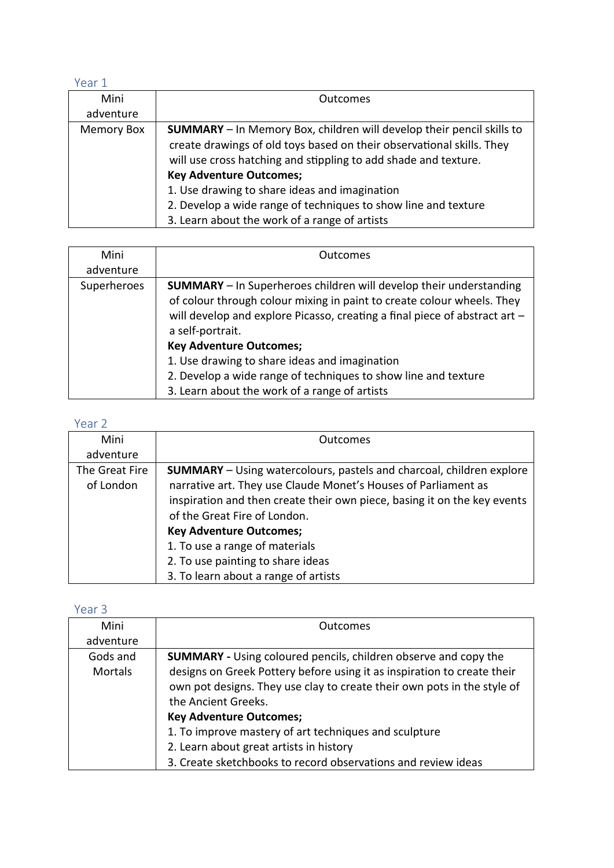### Year 1

| Mini       | <b>Outcomes</b>                                                                                                                                                                                                                                                                                                                                                                                                                |
|------------|--------------------------------------------------------------------------------------------------------------------------------------------------------------------------------------------------------------------------------------------------------------------------------------------------------------------------------------------------------------------------------------------------------------------------------|
| adventure  |                                                                                                                                                                                                                                                                                                                                                                                                                                |
| Memory Box | <b>SUMMARY</b> - In Memory Box, children will develop their pencil skills to<br>create drawings of old toys based on their observational skills. They<br>will use cross hatching and stippling to add shade and texture.<br><b>Key Adventure Outcomes;</b><br>1. Use drawing to share ideas and imagination<br>2. Develop a wide range of techniques to show line and texture<br>3. Learn about the work of a range of artists |

| Mini        | Outcomes                                                                   |
|-------------|----------------------------------------------------------------------------|
| adventure   |                                                                            |
| Superheroes | <b>SUMMARY</b> - In Superheroes children will develop their understanding  |
|             | of colour through colour mixing in paint to create colour wheels. They     |
|             | will develop and explore Picasso, creating a final piece of abstract art - |
|             | a self-portrait.                                                           |
|             | <b>Key Adventure Outcomes;</b>                                             |
|             | 1. Use drawing to share ideas and imagination                              |
|             | 2. Develop a wide range of techniques to show line and texture             |
|             | 3. Learn about the work of a range of artists                              |

## Year 2

| Mini           | <b>Outcomes</b>                                                             |
|----------------|-----------------------------------------------------------------------------|
| adventure      |                                                                             |
| The Great Fire | <b>SUMMARY</b> – Using watercolours, pastels and charcoal, children explore |
| of London      | narrative art. They use Claude Monet's Houses of Parliament as              |
|                | inspiration and then create their own piece, basing it on the key events    |
|                | of the Great Fire of London.                                                |
|                | <b>Key Adventure Outcomes;</b>                                              |
|                | 1. To use a range of materials                                              |
|                | 2. To use painting to share ideas                                           |
|                | 3. To learn about a range of artists                                        |

## Year 3

| Mini           | Outcomes                                                                |
|----------------|-------------------------------------------------------------------------|
| adventure      |                                                                         |
| Gods and       | <b>SUMMARY</b> - Using coloured pencils, children observe and copy the  |
| <b>Mortals</b> | designs on Greek Pottery before using it as inspiration to create their |
|                | own pot designs. They use clay to create their own pots in the style of |
|                | the Ancient Greeks.                                                     |
|                | <b>Key Adventure Outcomes;</b>                                          |
|                | 1. To improve mastery of art techniques and sculpture                   |
|                | 2. Learn about great artists in history                                 |
|                | 3. Create sketchbooks to record observations and review ideas           |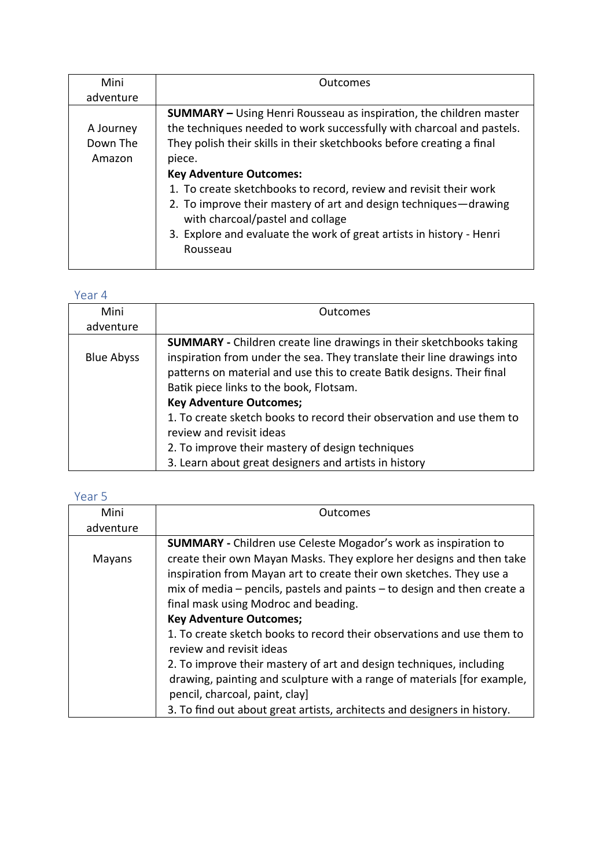| Mini                            | Outcomes                                                                                                                                                                                                                                                                                                                                                                                                                                                                                                                                 |
|---------------------------------|------------------------------------------------------------------------------------------------------------------------------------------------------------------------------------------------------------------------------------------------------------------------------------------------------------------------------------------------------------------------------------------------------------------------------------------------------------------------------------------------------------------------------------------|
| adventure                       |                                                                                                                                                                                                                                                                                                                                                                                                                                                                                                                                          |
| A Journey<br>Down The<br>Amazon | <b>SUMMARY</b> - Using Henri Rousseau as inspiration, the children master<br>the techniques needed to work successfully with charcoal and pastels.<br>They polish their skills in their sketchbooks before creating a final<br>piece.<br><b>Key Adventure Outcomes:</b><br>1. To create sketchbooks to record, review and revisit their work<br>2. To improve their mastery of art and design techniques-drawing<br>with charcoal/pastel and collage<br>3. Explore and evaluate the work of great artists in history - Henri<br>Rousseau |

## Year 4

| Mini              | Outcomes                                                                                                                                                                                                                                                                                                                                                                                                                                                                                                                       |
|-------------------|--------------------------------------------------------------------------------------------------------------------------------------------------------------------------------------------------------------------------------------------------------------------------------------------------------------------------------------------------------------------------------------------------------------------------------------------------------------------------------------------------------------------------------|
| adventure         |                                                                                                                                                                                                                                                                                                                                                                                                                                                                                                                                |
| <b>Blue Abyss</b> | <b>SUMMARY</b> - Children create line drawings in their sketchbooks taking<br>inspiration from under the sea. They translate their line drawings into<br>patterns on material and use this to create Batik designs. Their final<br>Batik piece links to the book, Flotsam.<br><b>Key Adventure Outcomes;</b><br>1. To create sketch books to record their observation and use them to<br>review and revisit ideas<br>2. To improve their mastery of design techniques<br>3. Learn about great designers and artists in history |

# Year 5

| Mini      | Outcomes                                                                     |
|-----------|------------------------------------------------------------------------------|
| adventure |                                                                              |
|           | <b>SUMMARY</b> - Children use Celeste Mogador's work as inspiration to       |
| Mayans    | create their own Mayan Masks. They explore her designs and then take         |
|           | inspiration from Mayan art to create their own sketches. They use a          |
|           | mix of media $-$ pencils, pastels and paints $-$ to design and then create a |
|           | final mask using Modroc and beading.                                         |
|           | <b>Key Adventure Outcomes;</b>                                               |
|           | 1. To create sketch books to record their observations and use them to       |
|           | review and revisit ideas                                                     |
|           | 2. To improve their mastery of art and design techniques, including          |
|           | drawing, painting and sculpture with a range of materials [for example,      |
|           | pencil, charcoal, paint, clay]                                               |
|           | 3. To find out about great artists, architects and designers in history.     |